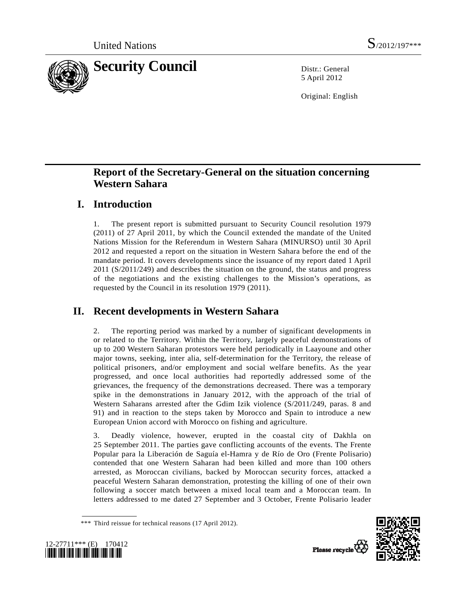

5 April 2012

Original: English

# **Report of the Secretary-General on the situation concerning Western Sahara**

# **I. Introduction**

1. The present report is submitted pursuant to Security Council resolution 1979 (2011) of 27 April 2011, by which the Council extended the mandate of the United Nations Mission for the Referendum in Western Sahara (MINURSO) until 30 April 2012 and requested a report on the situation in Western Sahara before the end of the mandate period. It covers developments since the issuance of my report dated 1 April 2011 (S/2011/249) and describes the situation on the ground, the status and progress of the negotiations and the existing challenges to the Mission's operations, as requested by the Council in its resolution 1979 (2011).

# **II. Recent developments in Western Sahara**

2. The reporting period was marked by a number of significant developments in or related to the Territory. Within the Territory, largely peaceful demonstrations of up to 200 Western Saharan protestors were held periodically in Laayoune and other major towns, seeking, inter alia, self-determination for the Territory, the release of political prisoners, and/or employment and social welfare benefits. As the year progressed, and once local authorities had reportedly addressed some of the grievances, the frequency of the demonstrations decreased. There was a temporary spike in the demonstrations in January 2012, with the approach of the trial of Western Saharans arrested after the Gdim Izik violence (S/2011/249, paras. 8 and 91) and in reaction to the steps taken by Morocco and Spain to introduce a new European Union accord with Morocco on fishing and agriculture.

3. Deadly violence, however, erupted in the coastal city of Dakhla on 25 September 2011. The parties gave conflicting accounts of the events. The Frente Popular para la Liberación de Saguía el-Hamra y de Río de Oro (Frente Polisario) contended that one Western Saharan had been killed and more than 100 others arrested, as Moroccan civilians, backed by Moroccan security forces, attacked a peaceful Western Saharan demonstration, protesting the killing of one of their own following a soccer match between a mixed local team and a Moroccan team. In letters addressed to me dated 27 September and 3 October, Frente Polisario leader





<sup>\*\*\*</sup> Third reissue for technical reasons (17 April 2012).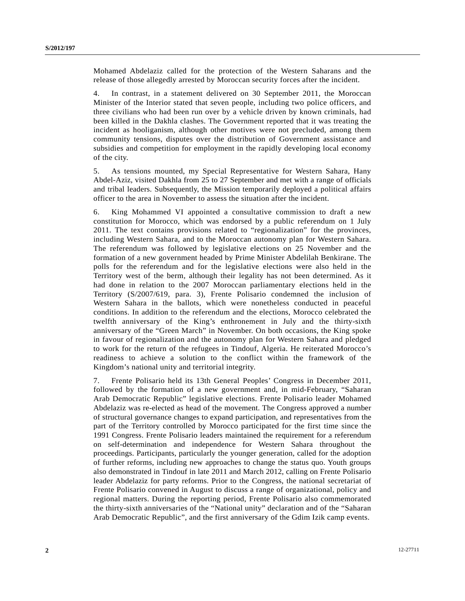Mohamed Abdelaziz called for the protection of the Western Saharans and the release of those allegedly arrested by Moroccan security forces after the incident.

4. In contrast, in a statement delivered on 30 September 2011, the Moroccan Minister of the Interior stated that seven people, including two police officers, and three civilians who had been run over by a vehicle driven by known criminals, had been killed in the Dakhla clashes. The Government reported that it was treating the incident as hooliganism, although other motives were not precluded, among them community tensions, disputes over the distribution of Government assistance and subsidies and competition for employment in the rapidly developing local economy of the city.

5. As tensions mounted, my Special Representative for Western Sahara, Hany Abdel-Aziz, visited Dakhla from 25 to 27 September and met with a range of officials and tribal leaders. Subsequently, the Mission temporarily deployed a political affairs officer to the area in November to assess the situation after the incident.

6. King Mohammed VI appointed a consultative commission to draft a new constitution for Morocco, which was endorsed by a public referendum on 1 July 2011. The text contains provisions related to "regionalization" for the provinces, including Western Sahara, and to the Moroccan autonomy plan for Western Sahara. The referendum was followed by legislative elections on 25 November and the formation of a new government headed by Prime Minister Abdelilah Benkirane. The polls for the referendum and for the legislative elections were also held in the Territory west of the berm, although their legality has not been determined. As it had done in relation to the 2007 Moroccan parliamentary elections held in the Territory (S/2007/619, para. 3), Frente Polisario condemned the inclusion of Western Sahara in the ballots, which were nonetheless conducted in peaceful conditions. In addition to the referendum and the elections, Morocco celebrated the twelfth anniversary of the King's enthronement in July and the thirty-sixth anniversary of the "Green March" in November. On both occasions, the King spoke in favour of regionalization and the autonomy plan for Western Sahara and pledged to work for the return of the refugees in Tindouf, Algeria. He reiterated Morocco's readiness to achieve a solution to the conflict within the framework of the Kingdom's national unity and territorial integrity.

7. Frente Polisario held its 13th General Peoples' Congress in December 2011, followed by the formation of a new government and, in mid-February, "Saharan Arab Democratic Republic" legislative elections. Frente Polisario leader Mohamed Abdelaziz was re-elected as head of the movement. The Congress approved a number of structural governance changes to expand participation, and representatives from the part of the Territory controlled by Morocco participated for the first time since the 1991 Congress. Frente Polisario leaders maintained the requirement for a referendum on self-determination and independence for Western Sahara throughout the proceedings. Participants, particularly the younger generation, called for the adoption of further reforms, including new approaches to change the status quo. Youth groups also demonstrated in Tindouf in late 2011 and March 2012, calling on Frente Polisario leader Abdelaziz for party reforms. Prior to the Congress, the national secretariat of Frente Polisario convened in August to discuss a range of organizational, policy and regional matters. During the reporting period, Frente Polisario also commemorated the thirty-sixth anniversaries of the "National unity" declaration and of the "Saharan Arab Democratic Republic", and the first anniversary of the Gdim Izik camp events.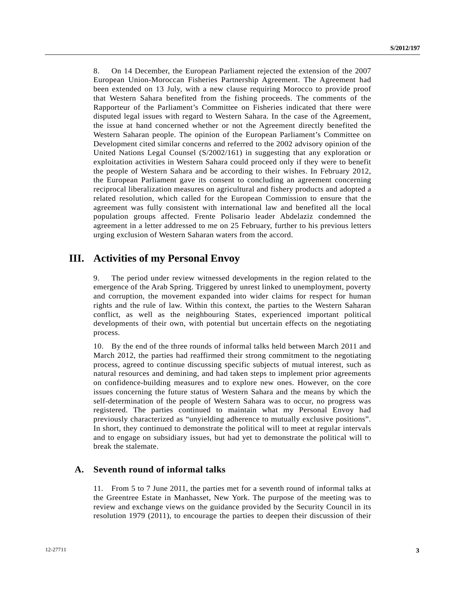8. On 14 December, the European Parliament rejected the extension of the 2007 European Union-Moroccan Fisheries Partnership Agreement. The Agreement had been extended on 13 July, with a new clause requiring Morocco to provide proof that Western Sahara benefited from the fishing proceeds. The comments of the Rapporteur of the Parliament's Committee on Fisheries indicated that there were disputed legal issues with regard to Western Sahara. In the case of the Agreement, the issue at hand concerned whether or not the Agreement directly benefited the Western Saharan people. The opinion of the European Parliament's Committee on Development cited similar concerns and referred to the 2002 advisory opinion of the United Nations Legal Counsel (S/2002/161) in suggesting that any exploration or exploitation activities in Western Sahara could proceed only if they were to benefit the people of Western Sahara and be according to their wishes. In February 2012, the European Parliament gave its consent to concluding an agreement concerning reciprocal liberalization measures on agricultural and fishery products and adopted a related resolution, which called for the European Commission to ensure that the agreement was fully consistent with international law and benefited all the local population groups affected. Frente Polisario leader Abdelaziz condemned the agreement in a letter addressed to me on 25 February, further to his previous letters urging exclusion of Western Saharan waters from the accord.

# **III. Activities of my Personal Envoy**

9. The period under review witnessed developments in the region related to the emergence of the Arab Spring. Triggered by unrest linked to unemployment, poverty and corruption, the movement expanded into wider claims for respect for human rights and the rule of law. Within this context, the parties to the Western Saharan conflict, as well as the neighbouring States, experienced important political developments of their own, with potential but uncertain effects on the negotiating process.

10. By the end of the three rounds of informal talks held between March 2011 and March 2012, the parties had reaffirmed their strong commitment to the negotiating process, agreed to continue discussing specific subjects of mutual interest, such as natural resources and demining, and had taken steps to implement prior agreements on confidence-building measures and to explore new ones. However, on the core issues concerning the future status of Western Sahara and the means by which the self-determination of the people of Western Sahara was to occur, no progress was registered. The parties continued to maintain what my Personal Envoy had previously characterized as "unyielding adherence to mutually exclusive positions". In short, they continued to demonstrate the political will to meet at regular intervals and to engage on subsidiary issues, but had yet to demonstrate the political will to break the stalemate.

#### **A. Seventh round of informal talks**

11. From 5 to 7 June 2011, the parties met for a seventh round of informal talks at the Greentree Estate in Manhasset, New York. The purpose of the meeting was to review and exchange views on the guidance provided by the Security Council in its resolution 1979 (2011), to encourage the parties to deepen their discussion of their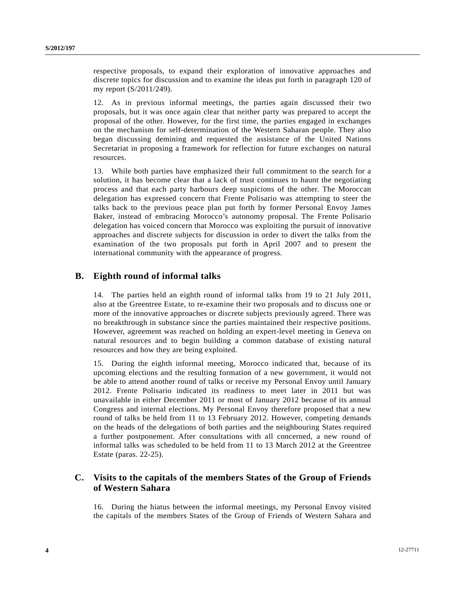respective proposals, to expand their exploration of innovative approaches and discrete topics for discussion and to examine the ideas put forth in paragraph 120 of my report (S/2011/249).

12. As in previous informal meetings, the parties again discussed their two proposals, but it was once again clear that neither party was prepared to accept the proposal of the other. However, for the first time, the parties engaged in exchanges on the mechanism for self-determination of the Western Saharan people. They also began discussing demining and requested the assistance of the United Nations Secretariat in proposing a framework for reflection for future exchanges on natural resources.

13. While both parties have emphasized their full commitment to the search for a solution, it has become clear that a lack of trust continues to haunt the negotiating process and that each party harbours deep suspicions of the other. The Moroccan delegation has expressed concern that Frente Polisario was attempting to steer the talks back to the previous peace plan put forth by former Personal Envoy James Baker, instead of embracing Morocco's autonomy proposal. The Frente Polisario delegation has voiced concern that Morocco was exploiting the pursuit of innovative approaches and discrete subjects for discussion in order to divert the talks from the examination of the two proposals put forth in April 2007 and to present the international community with the appearance of progress.

### **B. Eighth round of informal talks**

14. The parties held an eighth round of informal talks from 19 to 21 July 2011, also at the Greentree Estate, to re-examine their two proposals and to discuss one or more of the innovative approaches or discrete subjects previously agreed. There was no breakthrough in substance since the parties maintained their respective positions. However, agreement was reached on holding an expert-level meeting in Geneva on natural resources and to begin building a common database of existing natural resources and how they are being exploited.

15. During the eighth informal meeting, Morocco indicated that, because of its upcoming elections and the resulting formation of a new government, it would not be able to attend another round of talks or receive my Personal Envoy until January 2012. Frente Polisario indicated its readiness to meet later in 2011 but was unavailable in either December 2011 or most of January 2012 because of its annual Congress and internal elections. My Personal Envoy therefore proposed that a new round of talks be held from 11 to 13 February 2012. However, competing demands on the heads of the delegations of both parties and the neighbouring States required a further postponement. After consultations with all concerned, a new round of informal talks was scheduled to be held from 11 to 13 March 2012 at the Greentree Estate (paras. 22-25).

### **C. Visits to the capitals of the members States of the Group of Friends of Western Sahara**

16. During the hiatus between the informal meetings, my Personal Envoy visited the capitals of the members States of the Group of Friends of Western Sahara and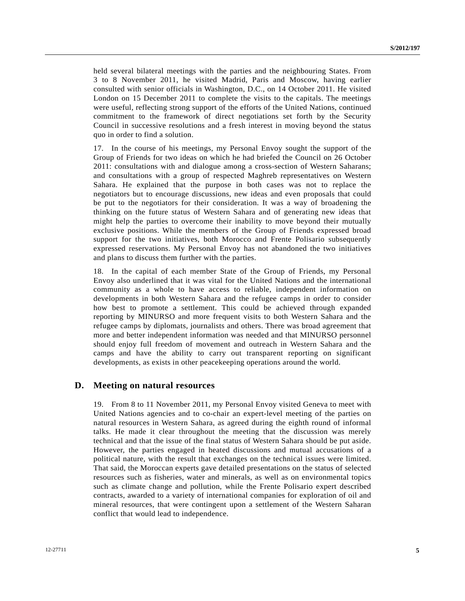held several bilateral meetings with the parties and the neighbouring States. From 3 to 8 November 2011, he visited Madrid, Paris and Moscow, having earlier consulted with senior officials in Washington, D.C., on 14 October 2011. He visited London on 15 December 2011 to complete the visits to the capitals. The meetings were useful, reflecting strong support of the efforts of the United Nations, continued commitment to the framework of direct negotiations set forth by the Security Council in successive resolutions and a fresh interest in moving beyond the status quo in order to find a solution.

17. In the course of his meetings, my Personal Envoy sought the support of the Group of Friends for two ideas on which he had briefed the Council on 26 October 2011: consultations with and dialogue among a cross-section of Western Saharans; and consultations with a group of respected Maghreb representatives on Western Sahara. He explained that the purpose in both cases was not to replace the negotiators but to encourage discussions, new ideas and even proposals that could be put to the negotiators for their consideration. It was a way of broadening the thinking on the future status of Western Sahara and of generating new ideas that might help the parties to overcome their inability to move beyond their mutually exclusive positions. While the members of the Group of Friends expressed broad support for the two initiatives, both Morocco and Frente Polisario subsequently expressed reservations. My Personal Envoy has not abandoned the two initiatives and plans to discuss them further with the parties.

18. In the capital of each member State of the Group of Friends, my Personal Envoy also underlined that it was vital for the United Nations and the international community as a whole to have access to reliable, independent information on developments in both Western Sahara and the refugee camps in order to consider how best to promote a settlement. This could be achieved through expanded reporting by MINURSO and more frequent visits to both Western Sahara and the refugee camps by diplomats, journalists and others. There was broad agreement that more and better independent information was needed and that MINURSO personnel should enjoy full freedom of movement and outreach in Western Sahara and the camps and have the ability to carry out transparent reporting on significant developments, as exists in other peacekeeping operations around the world.

#### **D. Meeting on natural resources**

19. From 8 to 11 November 2011, my Personal Envoy visited Geneva to meet with United Nations agencies and to co-chair an expert-level meeting of the parties on natural resources in Western Sahara, as agreed during the eighth round of informal talks. He made it clear throughout the meeting that the discussion was merely technical and that the issue of the final status of Western Sahara should be put aside. However, the parties engaged in heated discussions and mutual accusations of a political nature, with the result that exchanges on the technical issues were limited. That said, the Moroccan experts gave detailed presentations on the status of selected resources such as fisheries, water and minerals, as well as on environmental topics such as climate change and pollution, while the Frente Polisario expert described contracts, awarded to a variety of international companies for exploration of oil and mineral resources, that were contingent upon a settlement of the Western Saharan conflict that would lead to independence.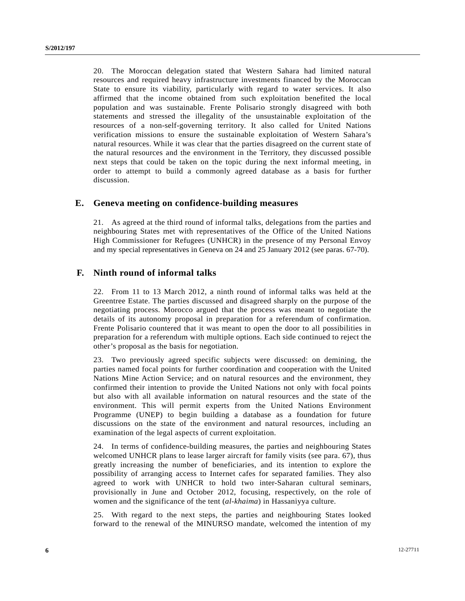20. The Moroccan delegation stated that Western Sahara had limited natural resources and required heavy infrastructure investments financed by the Moroccan State to ensure its viability, particularly with regard to water services. It also affirmed that the income obtained from such exploitation benefited the local population and was sustainable. Frente Polisario strongly disagreed with both statements and stressed the illegality of the unsustainable exploitation of the resources of a non-self-governing territory. It also called for United Nations verification missions to ensure the sustainable exploitation of Western Sahara's natural resources. While it was clear that the parties disagreed on the current state of the natural resources and the environment in the Territory, they discussed possible next steps that could be taken on the topic during the next informal meeting, in order to attempt to build a commonly agreed database as a basis for further discussion.

### **E. Geneva meeting on confidence-building measures**

21. As agreed at the third round of informal talks, delegations from the parties and neighbouring States met with representatives of the Office of the United Nations High Commissioner for Refugees (UNHCR) in the presence of my Personal Envoy and my special representatives in Geneva on 24 and 25 January 2012 (see paras. 67-70).

### **F. Ninth round of informal talks**

22. From 11 to 13 March 2012, a ninth round of informal talks was held at the Greentree Estate. The parties discussed and disagreed sharply on the purpose of the negotiating process. Morocco argued that the process was meant to negotiate the details of its autonomy proposal in preparation for a referendum of confirmation. Frente Polisario countered that it was meant to open the door to all possibilities in preparation for a referendum with multiple options. Each side continued to reject the other's proposal as the basis for negotiation.

23. Two previously agreed specific subjects were discussed: on demining, the parties named focal points for further coordination and cooperation with the United Nations Mine Action Service; and on natural resources and the environment, they confirmed their intention to provide the United Nations not only with focal points but also with all available information on natural resources and the state of the environment. This will permit experts from the United Nations Environment Programme (UNEP) to begin building a database as a foundation for future discussions on the state of the environment and natural resources, including an examination of the legal aspects of current exploitation.

24. In terms of confidence-building measures, the parties and neighbouring States welcomed UNHCR plans to lease larger aircraft for family visits (see para. 67), thus greatly increasing the number of beneficiaries, and its intention to explore the possibility of arranging access to Internet cafes for separated families. They also agreed to work with UNHCR to hold two inter-Saharan cultural seminars, provisionally in June and October 2012, focusing, respectively, on the role of women and the significance of the tent (*al-khaima*) in Hassaniyya culture.

25. With regard to the next steps, the parties and neighbouring States looked forward to the renewal of the MINURSO mandate, welcomed the intention of my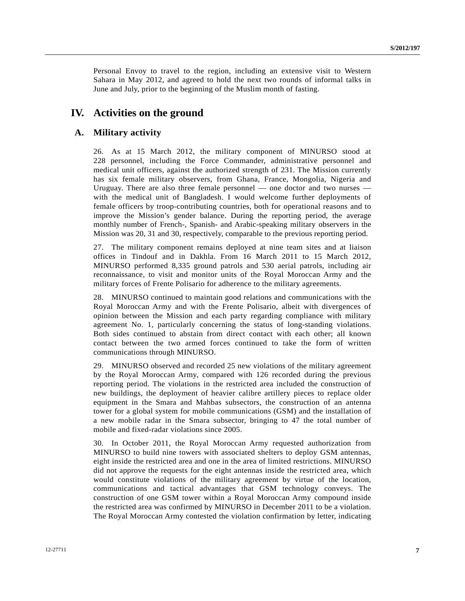Personal Envoy to travel to the region, including an extensive visit to Western Sahara in May 2012, and agreed to hold the next two rounds of informal talks in June and July, prior to the beginning of the Muslim month of fasting.

### **IV. Activities on the ground**

### **A. Military activity**

26. As at 15 March 2012, the military component of MINURSO stood at 228 personnel, including the Force Commander, administrative personnel and medical unit officers, against the authorized strength of 231. The Mission currently has six female military observers, from Ghana, France, Mongolia, Nigeria and Uruguay. There are also three female personnel — one doctor and two nurses with the medical unit of Bangladesh. I would welcome further deployments of female officers by troop-contributing countries, both for operational reasons and to improve the Mission's gender balance. During the reporting period, the average monthly number of French-, Spanish- and Arabic-speaking military observers in the Mission was 20, 31 and 30, respectively, comparable to the previous reporting period.

27. The military component remains deployed at nine team sites and at liaison offices in Tindouf and in Dakhla. From 16 March 2011 to 15 March 2012, MINURSO performed 8,335 ground patrols and 530 aerial patrols, including air reconnaissance, to visit and monitor units of the Royal Moroccan Army and the military forces of Frente Polisario for adherence to the military agreements.

28. MINURSO continued to maintain good relations and communications with the Royal Moroccan Army and with the Frente Polisario, albeit with divergences of opinion between the Mission and each party regarding compliance with military agreement No. 1, particularly concerning the status of long-standing violations. Both sides continued to abstain from direct contact with each other; all known contact between the two armed forces continued to take the form of written communications through MINURSO.

29. MINURSO observed and recorded 25 new violations of the military agreement by the Royal Moroccan Army, compared with 126 recorded during the previous reporting period. The violations in the restricted area included the construction of new buildings, the deployment of heavier calibre artillery pieces to replace older equipment in the Smara and Mahbas subsectors, the construction of an antenna tower for a global system for mobile communications (GSM) and the installation of a new mobile radar in the Smara subsector, bringing to 47 the total number of mobile and fixed-radar violations since 2005.

30. In October 2011, the Royal Moroccan Army requested authorization from MINURSO to build nine towers with associated shelters to deploy GSM antennas, eight inside the restricted area and one in the area of limited restrictions. MINURSO did not approve the requests for the eight antennas inside the restricted area, which would constitute violations of the military agreement by virtue of the location, communications and tactical advantages that GSM technology conveys. The construction of one GSM tower within a Royal Moroccan Army compound inside the restricted area was confirmed by MINURSO in December 2011 to be a violation. The Royal Moroccan Army contested the violation confirmation by letter, indicating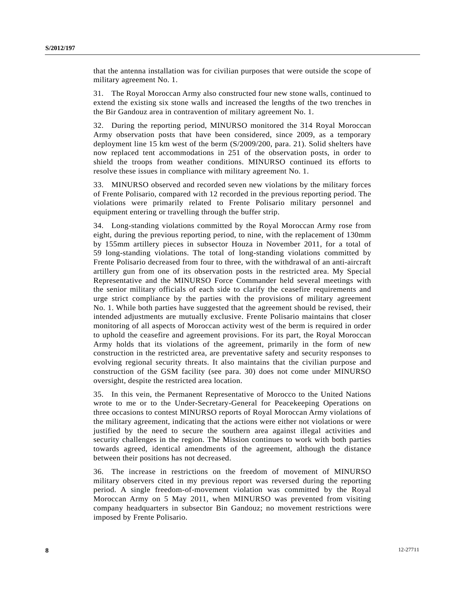that the antenna installation was for civilian purposes that were outside the scope of military agreement No. 1.

31. The Royal Moroccan Army also constructed four new stone walls, continued to extend the existing six stone walls and increased the lengths of the two trenches in the Bir Gandouz area in contravention of military agreement No. 1.

32. During the reporting period, MINURSO monitored the 314 Royal Moroccan Army observation posts that have been considered, since 2009, as a temporary deployment line 15 km west of the berm (S/2009/200, para. 21). Solid shelters have now replaced tent accommodations in 251 of the observation posts, in order to shield the troops from weather conditions. MINURSO continued its efforts to resolve these issues in compliance with military agreement No. 1.

33. MINURSO observed and recorded seven new violations by the military forces of Frente Polisario, compared with 12 recorded in the previous reporting period. The violations were primarily related to Frente Polisario military personnel and equipment entering or travelling through the buffer strip.

34. Long-standing violations committed by the Royal Moroccan Army rose from eight, during the previous reporting period, to nine, with the replacement of 130mm by 155mm artillery pieces in subsector Houza in November 2011, for a total of 59 long-standing violations. The total of long-standing violations committed by Frente Polisario decreased from four to three, with the withdrawal of an anti-aircraft artillery gun from one of its observation posts in the restricted area. My Special Representative and the MINURSO Force Commander held several meetings with the senior military officials of each side to clarify the ceasefire requirements and urge strict compliance by the parties with the provisions of military agreement No. 1. While both parties have suggested that the agreement should be revised, their intended adjustments are mutually exclusive. Frente Polisario maintains that closer monitoring of all aspects of Moroccan activity west of the berm is required in order to uphold the ceasefire and agreement provisions. For its part, the Royal Moroccan Army holds that its violations of the agreement, primarily in the form of new construction in the restricted area, are preventative safety and security responses to evolving regional security threats. It also maintains that the civilian purpose and construction of the GSM facility (see para. 30) does not come under MINURSO oversight, despite the restricted area location.

35. In this vein, the Permanent Representative of Morocco to the United Nations wrote to me or to the Under-Secretary-General for Peacekeeping Operations on three occasions to contest MINURSO reports of Royal Moroccan Army violations of the military agreement, indicating that the actions were either not violations or were justified by the need to secure the southern area against illegal activities and security challenges in the region. The Mission continues to work with both parties towards agreed, identical amendments of the agreement, although the distance between their positions has not decreased.

36. The increase in restrictions on the freedom of movement of MINURSO military observers cited in my previous report was reversed during the reporting period. A single freedom-of-movement violation was committed by the Royal Moroccan Army on 5 May 2011, when MINURSO was prevented from visiting company headquarters in subsector Bin Gandouz; no movement restrictions were imposed by Frente Polisario.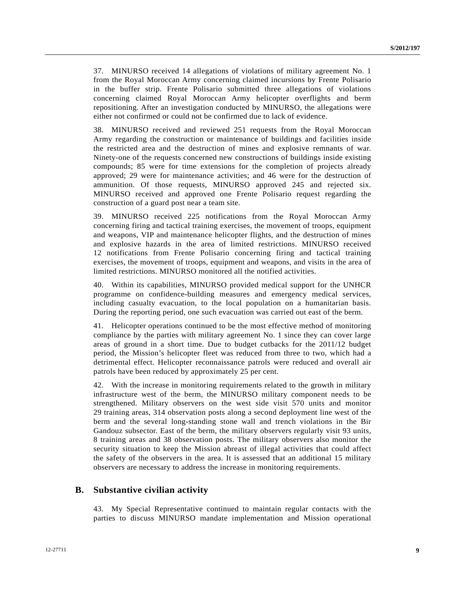37. MINURSO received 14 allegations of violations of military agreement No. 1 from the Royal Moroccan Army concerning claimed incursions by Frente Polisario in the buffer strip. Frente Polisario submitted three allegations of violations concerning claimed Royal Moroccan Army helicopter overflights and berm repositioning. After an investigation conducted by MINURSO, the allegations were either not confirmed or could not be confirmed due to lack of evidence.

38. MINURSO received and reviewed 251 requests from the Royal Moroccan Army regarding the construction or maintenance of buildings and facilities inside the restricted area and the destruction of mines and explosive remnants of war. Ninety-one of the requests concerned new constructions of buildings inside existing compounds; 85 were for time extensions for the completion of projects already approved; 29 were for maintenance activities; and 46 were for the destruction of ammunition. Of those requests, MINURSO approved 245 and rejected six. MINURSO received and approved one Frente Polisario request regarding the construction of a guard post near a team site.

39. MINURSO received 225 notifications from the Royal Moroccan Army concerning firing and tactical training exercises, the movement of troops, equipment and weapons, VIP and maintenance helicopter flights, and the destruction of mines and explosive hazards in the area of limited restrictions. MINURSO received 12 notifications from Frente Polisario concerning firing and tactical training exercises, the movement of troops, equipment and weapons, and visits in the area of limited restrictions. MINURSO monitored all the notified activities.

40. Within its capabilities, MINURSO provided medical support for the UNHCR programme on confidence-building measures and emergency medical services, including casualty evacuation, to the local population on a humanitarian basis. During the reporting period, one such evacuation was carried out east of the berm.

41. Helicopter operations continued to be the most effective method of monitoring compliance by the parties with military agreement No. 1 since they can cover large areas of ground in a short time. Due to budget cutbacks for the 2011/12 budget period, the Mission's helicopter fleet was reduced from three to two, which had a detrimental effect. Helicopter reconnaissance patrols were reduced and overall air patrols have been reduced by approximately 25 per cent.

42. With the increase in monitoring requirements related to the growth in military infrastructure west of the berm, the MINURSO military component needs to be strengthened. Military observers on the west side visit 570 units and monitor 29 training areas, 314 observation posts along a second deployment line west of the berm and the several long-standing stone wall and trench violations in the Bir Gandouz subsector. East of the berm, the military observers regularly visit 93 units, 8 training areas and 38 observation posts. The military observers also monitor the security situation to keep the Mission abreast of illegal activities that could affect the safety of the observers in the area. It is assessed that an additional 15 military observers are necessary to address the increase in monitoring requirements.

#### **B. Substantive civilian activity**

43. My Special Representative continued to maintain regular contacts with the parties to discuss MINURSO mandate implementation and Mission operational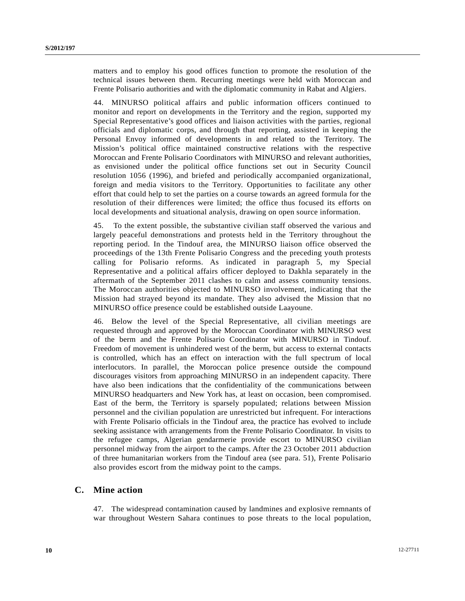matters and to employ his good offices function to promote the resolution of the technical issues between them. Recurring meetings were held with Moroccan and Frente Polisario authorities and with the diplomatic community in Rabat and Algiers.

44. MINURSO political affairs and public information officers continued to monitor and report on developments in the Territory and the region, supported my Special Representative's good offices and liaison activities with the parties, regional officials and diplomatic corps, and through that reporting, assisted in keeping the Personal Envoy informed of developments in and related to the Territory. The Mission's political office maintained constructive relations with the respective Moroccan and Frente Polisario Coordinators with MINURSO and relevant authorities, as envisioned under the political office functions set out in Security Council resolution 1056 (1996), and briefed and periodically accompanied organizational, foreign and media visitors to the Territory. Opportunities to facilitate any other effort that could help to set the parties on a course towards an agreed formula for the resolution of their differences were limited; the office thus focused its efforts on local developments and situational analysis, drawing on open source information.

45. To the extent possible, the substantive civilian staff observed the various and largely peaceful demonstrations and protests held in the Territory throughout the reporting period. In the Tindouf area, the MINURSO liaison office observed the proceedings of the 13th Frente Polisario Congress and the preceding youth protests calling for Polisario reforms. As indicated in paragraph 5, my Special Representative and a political affairs officer deployed to Dakhla separately in the aftermath of the September 2011 clashes to calm and assess community tensions. The Moroccan authorities objected to MINURSO involvement, indicating that the Mission had strayed beyond its mandate. They also advised the Mission that no MINURSO office presence could be established outside Laayoune.

46. Below the level of the Special Representative, all civilian meetings are requested through and approved by the Moroccan Coordinator with MINURSO west of the berm and the Frente Polisario Coordinator with MINURSO in Tindouf. Freedom of movement is unhindered west of the berm, but access to external contacts is controlled, which has an effect on interaction with the full spectrum of local interlocutors. In parallel, the Moroccan police presence outside the compound discourages visitors from approaching MINURSO in an independent capacity. There have also been indications that the confidentiality of the communications between MINURSO headquarters and New York has, at least on occasion, been compromised. East of the berm, the Territory is sparsely populated; relations between Mission personnel and the civilian population are unrestricted but infrequent. For interactions with Frente Polisario officials in the Tindouf area, the practice has evolved to include seeking assistance with arrangements from the Frente Polisario Coordinator. In visits to the refugee camps, Algerian gendarmerie provide escort to MINURSO civilian personnel midway from the airport to the camps. After the 23 October 2011 abduction of three humanitarian workers from the Tindouf area (see para. 51), Frente Polisario also provides escort from the midway point to the camps.

#### **C. Mine action**

47. The widespread contamination caused by landmines and explosive remnants of war throughout Western Sahara continues to pose threats to the local population,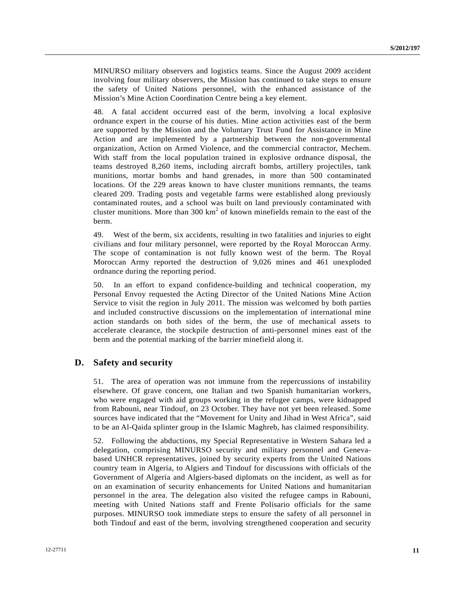MINURSO military observers and logistics teams. Since the August 2009 accident involving four military observers, the Mission has continued to take steps to ensure the safety of United Nations personnel, with the enhanced assistance of the Mission's Mine Action Coordination Centre being a key element.

48. A fatal accident occurred east of the berm, involving a local explosive ordnance expert in the course of his duties. Mine action activities east of the berm are supported by the Mission and the Voluntary Trust Fund for Assistance in Mine Action and are implemented by a partnership between the non-governmental organization, Action on Armed Violence, and the commercial contractor, Mechem. With staff from the local population trained in explosive ordnance disposal, the teams destroyed 8,260 items, including aircraft bombs, artillery projectiles, tank munitions, mortar bombs and hand grenades, in more than 500 contaminated locations. Of the 229 areas known to have cluster munitions remnants, the teams cleared 209. Trading posts and vegetable farms were established along previously contaminated routes, and a school was built on land previously contaminated with cluster munitions. More than  $300 \text{ km}^2$  of known minefields remain to the east of the berm.

49. West of the berm, six accidents, resulting in two fatalities and injuries to eight civilians and four military personnel, were reported by the Royal Moroccan Army. The scope of contamination is not fully known west of the berm. The Royal Moroccan Army reported the destruction of 9,026 mines and 461 unexploded ordnance during the reporting period.

50. In an effort to expand confidence-building and technical cooperation, my Personal Envoy requested the Acting Director of the United Nations Mine Action Service to visit the region in July 2011. The mission was welcomed by both parties and included constructive discussions on the implementation of international mine action standards on both sides of the berm, the use of mechanical assets to accelerate clearance, the stockpile destruction of anti-personnel mines east of the berm and the potential marking of the barrier minefield along it.

#### **D. Safety and security**

51. The area of operation was not immune from the repercussions of instability elsewhere. Of grave concern, one Italian and two Spanish humanitarian workers, who were engaged with aid groups working in the refugee camps, were kidnapped from Rabouni, near Tindouf, on 23 October. They have not yet been released. Some sources have indicated that the "Movement for Unity and Jihad in West Africa", said to be an Al-Qaida splinter group in the Islamic Maghreb, has claimed responsibility.

52. Following the abductions, my Special Representative in Western Sahara led a delegation, comprising MINURSO security and military personnel and Genevabased UNHCR representatives, joined by security experts from the United Nations country team in Algeria, to Algiers and Tindouf for discussions with officials of the Government of Algeria and Algiers-based diplomats on the incident, as well as for on an examination of security enhancements for United Nations and humanitarian personnel in the area. The delegation also visited the refugee camps in Rabouni, meeting with United Nations staff and Frente Polisario officials for the same purposes. MINURSO took immediate steps to ensure the safety of all personnel in both Tindouf and east of the berm, involving strengthened cooperation and security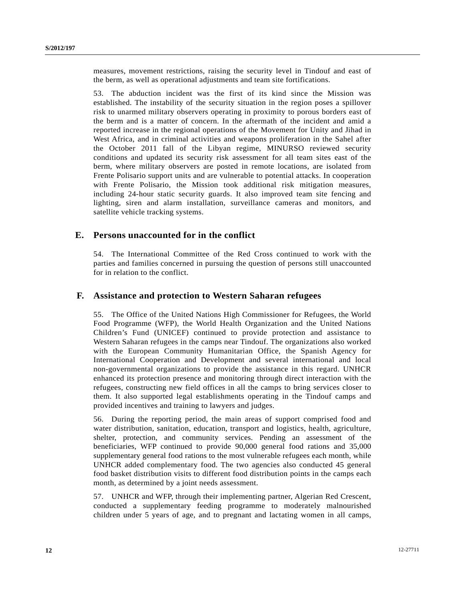measures, movement restrictions, raising the security level in Tindouf and east of the berm, as well as operational adjustments and team site fortifications.

53. The abduction incident was the first of its kind since the Mission was established. The instability of the security situation in the region poses a spillover risk to unarmed military observers operating in proximity to porous borders east of the berm and is a matter of concern. In the aftermath of the incident and amid a reported increase in the regional operations of the Movement for Unity and Jihad in West Africa, and in criminal activities and weapons proliferation in the Sahel after the October 2011 fall of the Libyan regime, MINURSO reviewed security conditions and updated its security risk assessment for all team sites east of the berm, where military observers are posted in remote locations, are isolated from Frente Polisario support units and are vulnerable to potential attacks. In cooperation with Frente Polisario, the Mission took additional risk mitigation measures, including 24-hour static security guards. It also improved team site fencing and lighting, siren and alarm installation, surveillance cameras and monitors, and satellite vehicle tracking systems.

### **E. Persons unaccounted for in the conflict**

54. The International Committee of the Red Cross continued to work with the parties and families concerned in pursuing the question of persons still unaccounted for in relation to the conflict.

#### **F. Assistance and protection to Western Saharan refugees**

55. The Office of the United Nations High Commissioner for Refugees, the World Food Programme (WFP), the World Health Organization and the United Nations Children's Fund (UNICEF) continued to provide protection and assistance to Western Saharan refugees in the camps near Tindouf. The organizations also worked with the European Community Humanitarian Office, the Spanish Agency for International Cooperation and Development and several international and local non-governmental organizations to provide the assistance in this regard. UNHCR enhanced its protection presence and monitoring through direct interaction with the refugees, constructing new field offices in all the camps to bring services closer to them. It also supported legal establishments operating in the Tindouf camps and provided incentives and training to lawyers and judges.

56. During the reporting period, the main areas of support comprised food and water distribution, sanitation, education, transport and logistics, health, agriculture, shelter, protection, and community services. Pending an assessment of the beneficiaries, WFP continued to provide 90,000 general food rations and 35,000 supplementary general food rations to the most vulnerable refugees each month, while UNHCR added complementary food. The two agencies also conducted 45 general food basket distribution visits to different food distribution points in the camps each month, as determined by a joint needs assessment.

57. UNHCR and WFP, through their implementing partner, Algerian Red Crescent, conducted a supplementary feeding programme to moderately malnourished children under 5 years of age, and to pregnant and lactating women in all camps,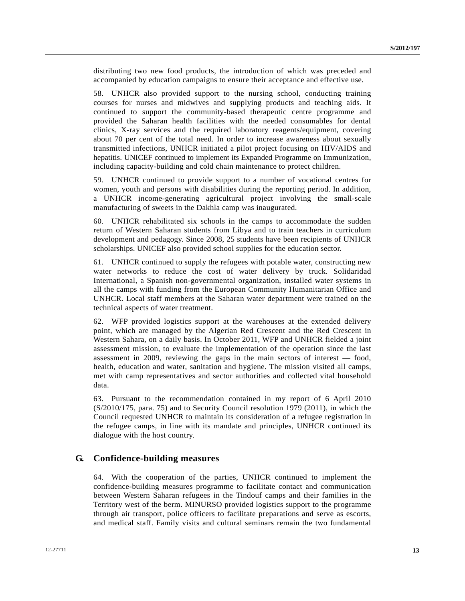distributing two new food products, the introduction of which was preceded and accompanied by education campaigns to ensure their acceptance and effective use.

58. UNHCR also provided support to the nursing school, conducting training courses for nurses and midwives and supplying products and teaching aids. It continued to support the community-based therapeutic centre programme and provided the Saharan health facilities with the needed consumables for dental clinics, X-ray services and the required laboratory reagents/equipment, covering about 70 per cent of the total need. In order to increase awareness about sexually transmitted infections, UNHCR initiated a pilot project focusing on HIV/AIDS and hepatitis. UNICEF continued to implement its Expanded Programme on Immunization, including capacity-building and cold chain maintenance to protect children.

59. UNHCR continued to provide support to a number of vocational centres for women, youth and persons with disabilities during the reporting period. In addition, a UNHCR income-generating agricultural project involving the small-scale manufacturing of sweets in the Dakhla camp was inaugurated.

60. UNHCR rehabilitated six schools in the camps to accommodate the sudden return of Western Saharan students from Libya and to train teachers in curriculum development and pedagogy. Since 2008, 25 students have been recipients of UNHCR scholarships. UNICEF also provided school supplies for the education sector.

61. UNHCR continued to supply the refugees with potable water, constructing new water networks to reduce the cost of water delivery by truck. Solidaridad International, a Spanish non-governmental organization, installed water systems in all the camps with funding from the European Community Humanitarian Office and UNHCR. Local staff members at the Saharan water department were trained on the technical aspects of water treatment.

62. WFP provided logistics support at the warehouses at the extended delivery point, which are managed by the Algerian Red Crescent and the Red Crescent in Western Sahara, on a daily basis. In October 2011, WFP and UNHCR fielded a joint assessment mission, to evaluate the implementation of the operation since the last assessment in 2009, reviewing the gaps in the main sectors of interest — food, health, education and water, sanitation and hygiene. The mission visited all camps, met with camp representatives and sector authorities and collected vital household data.

63. Pursuant to the recommendation contained in my report of 6 April 2010 (S/2010/175, para. 75) and to Security Council resolution 1979 (2011), in which the Council requested UNHCR to maintain its consideration of a refugee registration in the refugee camps, in line with its mandate and principles, UNHCR continued its dialogue with the host country.

#### **G. Confidence-building measures**

64. With the cooperation of the parties, UNHCR continued to implement the confidence-building measures programme to facilitate contact and communication between Western Saharan refugees in the Tindouf camps and their families in the Territory west of the berm. MINURSO provided logistics support to the programme through air transport, police officers to facilitate preparations and serve as escorts, and medical staff. Family visits and cultural seminars remain the two fundamental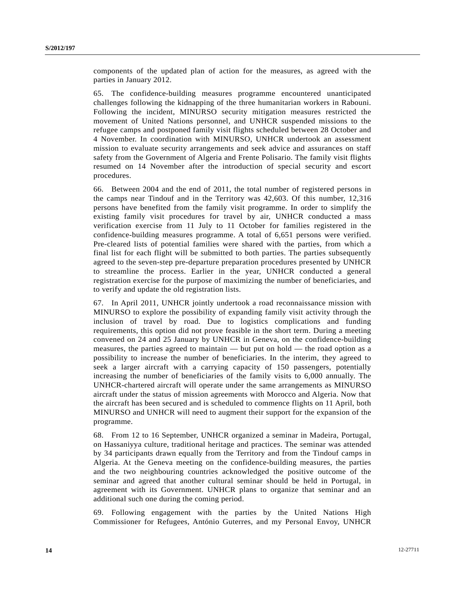components of the updated plan of action for the measures, as agreed with the parties in January 2012.

65. The confidence-building measures programme encountered unanticipated challenges following the kidnapping of the three humanitarian workers in Rabouni. Following the incident, MINURSO security mitigation measures restricted the movement of United Nations personnel, and UNHCR suspended missions to the refugee camps and postponed family visit flights scheduled between 28 October and 4 November. In coordination with MINURSO, UNHCR undertook an assessment mission to evaluate security arrangements and seek advice and assurances on staff safety from the Government of Algeria and Frente Polisario. The family visit flights resumed on 14 November after the introduction of special security and escort procedures.

66. Between 2004 and the end of 2011, the total number of registered persons in the camps near Tindouf and in the Territory was 42,603. Of this number, 12,316 persons have benefited from the family visit programme. In order to simplify the existing family visit procedures for travel by air, UNHCR conducted a mass verification exercise from 11 July to 11 October for families registered in the confidence-building measures programme. A total of 6,651 persons were verified. Pre-cleared lists of potential families were shared with the parties, from which a final list for each flight will be submitted to both parties. The parties subsequently agreed to the seven-step pre-departure preparation procedures presented by UNHCR to streamline the process. Earlier in the year, UNHCR conducted a general registration exercise for the purpose of maximizing the number of beneficiaries, and to verify and update the old registration lists.

67. In April 2011, UNHCR jointly undertook a road reconnaissance mission with MINURSO to explore the possibility of expanding family visit activity through the inclusion of travel by road. Due to logistics complications and funding requirements, this option did not prove feasible in the short term. During a meeting convened on 24 and 25 January by UNHCR in Geneva, on the confidence-building measures, the parties agreed to maintain — but put on hold — the road option as a possibility to increase the number of beneficiaries. In the interim, they agreed to seek a larger aircraft with a carrying capacity of 150 passengers, potentially increasing the number of beneficiaries of the family visits to 6,000 annually. The UNHCR-chartered aircraft will operate under the same arrangements as MINURSO aircraft under the status of mission agreements with Morocco and Algeria. Now that the aircraft has been secured and is scheduled to commence flights on 11 April, both MINURSO and UNHCR will need to augment their support for the expansion of the programme.

68. From 12 to 16 September, UNHCR organized a seminar in Madeira, Portugal, on Hassaniyya culture, traditional heritage and practices. The seminar was attended by 34 participants drawn equally from the Territory and from the Tindouf camps in Algeria. At the Geneva meeting on the confidence-building measures, the parties and the two neighbouring countries acknowledged the positive outcome of the seminar and agreed that another cultural seminar should be held in Portugal, in agreement with its Government. UNHCR plans to organize that seminar and an additional such one during the coming period.

69. Following engagement with the parties by the United Nations High Commissioner for Refugees, António Guterres, and my Personal Envoy, UNHCR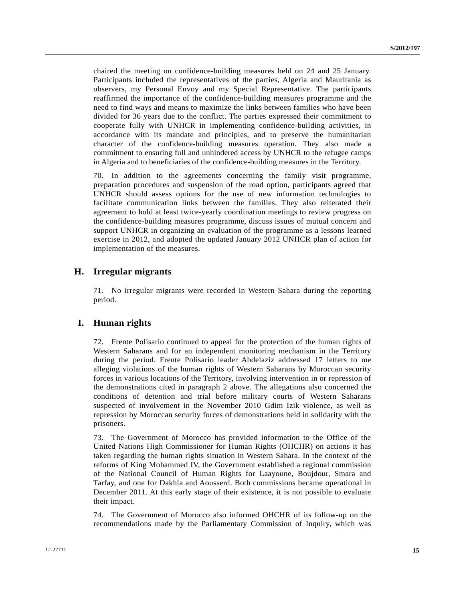chaired the meeting on confidence-building measures held on 24 and 25 January. Participants included the representatives of the parties, Algeria and Mauritania as observers, my Personal Envoy and my Special Representative. The participants reaffirmed the importance of the confidence-building measures programme and the need to find ways and means to maximize the links between families who have been divided for 36 years due to the conflict. The parties expressed their commitment to cooperate fully with UNHCR in implementing confidence-building activities, in accordance with its mandate and principles, and to preserve the humanitarian character of the confidence-building measures operation. They also made a commitment to ensuring full and unhindered access by UNHCR to the refugee camps in Algeria and to beneficiaries of the confidence-building measures in the Territory.

70. In addition to the agreements concerning the family visit programme, preparation procedures and suspension of the road option, participants agreed that UNHCR should assess options for the use of new information technologies to facilitate communication links between the families. They also reiterated their agreement to hold at least twice-yearly coordination meetings to review progress on the confidence-building measures programme, discuss issues of mutual concern and support UNHCR in organizing an evaluation of the programme as a lessons learned exercise in 2012, and adopted the updated January 2012 UNHCR plan of action for implementation of the measures.

### **H. Irregular migrants**

71. No irregular migrants were recorded in Western Sahara during the reporting period.

#### **I. Human rights**

72. Frente Polisario continued to appeal for the protection of the human rights of Western Saharans and for an independent monitoring mechanism in the Territory during the period. Frente Polisario leader Abdelaziz addressed 17 letters to me alleging violations of the human rights of Western Saharans by Moroccan security forces in various locations of the Territory, involving intervention in or repression of the demonstrations cited in paragraph 2 above. The allegations also concerned the conditions of detention and trial before military courts of Western Saharans suspected of involvement in the November 2010 Gdim Izik violence, as well as repression by Moroccan security forces of demonstrations held in solidarity with the prisoners.

73. The Government of Morocco has provided information to the Office of the United Nations High Commissioner for Human Rights (OHCHR) on actions it has taken regarding the human rights situation in Western Sahara. In the context of the reforms of King Mohammed IV, the Government established a regional commission of the National Council of Human Rights for Laayoune, Boujdour, Smara and Tarfay, and one for Dakhla and Aousserd. Both commissions became operational in December 2011. At this early stage of their existence, it is not possible to evaluate their impact.

74. The Government of Morocco also informed OHCHR of its follow-up on the recommendations made by the Parliamentary Commission of Inquiry, which was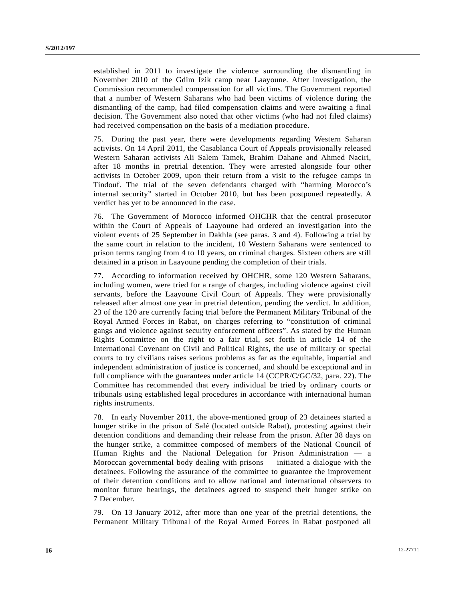established in 2011 to investigate the violence surrounding the dismantling in November 2010 of the Gdim Izik camp near Laayoune. After investigation, the Commission recommended compensation for all victims. The Government reported that a number of Western Saharans who had been victims of violence during the dismantling of the camp, had filed compensation claims and were awaiting a final decision. The Government also noted that other victims (who had not filed claims) had received compensation on the basis of a mediation procedure.

75. During the past year, there were developments regarding Western Saharan activists. On 14 April 2011, the Casablanca Court of Appeals provisionally released Western Saharan activists Ali Salem Tamek, Brahim Dahane and Ahmed Naciri, after 18 months in pretrial detention. They were arrested alongside four other activists in October 2009, upon their return from a visit to the refugee camps in Tindouf. The trial of the seven defendants charged with "harming Morocco's internal security" started in October 2010, but has been postponed repeatedly. A verdict has yet to be announced in the case.

76. The Government of Morocco informed OHCHR that the central prosecutor within the Court of Appeals of Laayoune had ordered an investigation into the violent events of 25 September in Dakhla (see paras. 3 and 4). Following a trial by the same court in relation to the incident, 10 Western Saharans were sentenced to prison terms ranging from 4 to 10 years, on criminal charges. Sixteen others are still detained in a prison in Laayoune pending the completion of their trials.

77. According to information received by OHCHR, some 120 Western Saharans, including women, were tried for a range of charges, including violence against civil servants, before the Laayoune Civil Court of Appeals. They were provisionally released after almost one year in pretrial detention, pending the verdict. In addition, 23 of the 120 are currently facing trial before the Permanent Military Tribunal of the Royal Armed Forces in Rabat, on charges referring to "constitution of criminal gangs and violence against security enforcement officers". As stated by the Human Rights Committee on the right to a fair trial, set forth in article 14 of the International Covenant on Civil and Political Rights, the use of military or special courts to try civilians raises serious problems as far as the equitable, impartial and independent administration of justice is concerned, and should be exceptional and in full compliance with the guarantees under article 14 (CCPR/C/GC/32, para. 22). The Committee has recommended that every individual be tried by ordinary courts or tribunals using established legal procedures in accordance with international human rights instruments.

78. In early November 2011, the above-mentioned group of 23 detainees started a hunger strike in the prison of Salé (located outside Rabat), protesting against their detention conditions and demanding their release from the prison. After 38 days on the hunger strike, a committee composed of members of the National Council of Human Rights and the National Delegation for Prison Administration — a Moroccan governmental body dealing with prisons — initiated a dialogue with the detainees. Following the assurance of the committee to guarantee the improvement of their detention conditions and to allow national and international observers to monitor future hearings, the detainees agreed to suspend their hunger strike on 7 December.

79. On 13 January 2012, after more than one year of the pretrial detentions, the Permanent Military Tribunal of the Royal Armed Forces in Rabat postponed all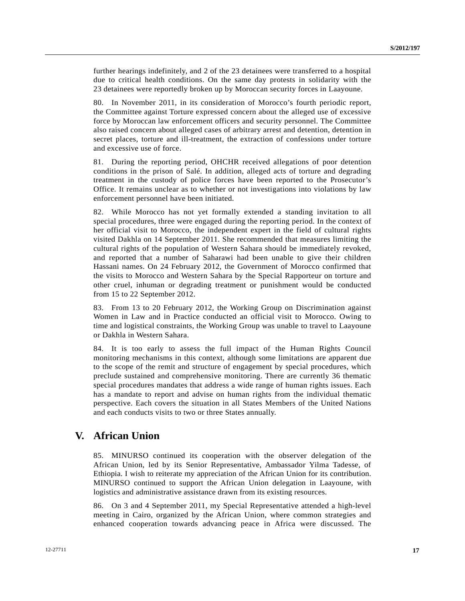further hearings indefinitely, and 2 of the 23 detainees were transferred to a hospital due to critical health conditions. On the same day protests in solidarity with the 23 detainees were reportedly broken up by Moroccan security forces in Laayoune.

80. In November 2011, in its consideration of Morocco's fourth periodic report, the Committee against Torture expressed concern about the alleged use of excessive force by Moroccan law enforcement officers and security personnel. The Committee also raised concern about alleged cases of arbitrary arrest and detention, detention in secret places, torture and ill-treatment, the extraction of confessions under torture and excessive use of force.

81. During the reporting period, OHCHR received allegations of poor detention conditions in the prison of Salé. In addition, alleged acts of torture and degrading treatment in the custody of police forces have been reported to the Prosecutor's Office. It remains unclear as to whether or not investigations into violations by law enforcement personnel have been initiated.

82. While Morocco has not yet formally extended a standing invitation to all special procedures, three were engaged during the reporting period. In the context of her official visit to Morocco, the independent expert in the field of cultural rights visited Dakhla on 14 September 2011. She recommended that measures limiting the cultural rights of the population of Western Sahara should be immediately revoked, and reported that a number of Saharawi had been unable to give their children Hassani names. On 24 February 2012, the Government of Morocco confirmed that the visits to Morocco and Western Sahara by the Special Rapporteur on torture and other cruel, inhuman or degrading treatment or punishment would be conducted from 15 to 22 September 2012.

83. From 13 to 20 February 2012, the Working Group on Discrimination against Women in Law and in Practice conducted an official visit to Morocco. Owing to time and logistical constraints, the Working Group was unable to travel to Laayoune or Dakhla in Western Sahara.

84. It is too early to assess the full impact of the Human Rights Council monitoring mechanisms in this context, although some limitations are apparent due to the scope of the remit and structure of engagement by special procedures, which preclude sustained and comprehensive monitoring. There are currently 36 thematic special procedures mandates that address a wide range of human rights issues. Each has a mandate to report and advise on human rights from the individual thematic perspective. Each covers the situation in all States Members of the United Nations and each conducts visits to two or three States annually.

# **V. African Union**

85. MINURSO continued its cooperation with the observer delegation of the African Union, led by its Senior Representative, Ambassador Yilma Tadesse, of Ethiopia. I wish to reiterate my appreciation of the African Union for its contribution. MINURSO continued to support the African Union delegation in Laayoune, with logistics and administrative assistance drawn from its existing resources.

86. On 3 and 4 September 2011, my Special Representative attended a high-level meeting in Cairo, organized by the African Union, where common strategies and enhanced cooperation towards advancing peace in Africa were discussed. The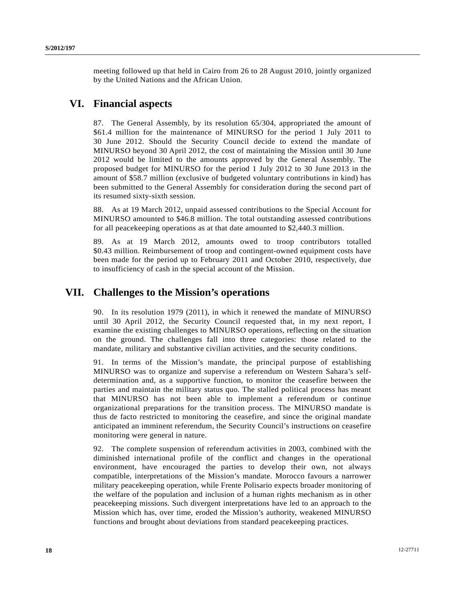meeting followed up that held in Cairo from 26 to 28 August 2010, jointly organized by the United Nations and the African Union.

# **VI. Financial aspects**

87. The General Assembly, by its resolution 65/304, appropriated the amount of \$61.4 million for the maintenance of MINURSO for the period 1 July 2011 to 30 June 2012. Should the Security Council decide to extend the mandate of MINURSO beyond 30 April 2012, the cost of maintaining the Mission until 30 June 2012 would be limited to the amounts approved by the General Assembly. The proposed budget for MINURSO for the period 1 July 2012 to 30 June 2013 in the amount of \$58.7 million (exclusive of budgeted voluntary contributions in kind) has been submitted to the General Assembly for consideration during the second part of its resumed sixty-sixth session.

88. As at 19 March 2012, unpaid assessed contributions to the Special Account for MINURSO amounted to \$46.8 million. The total outstanding assessed contributions for all peacekeeping operations as at that date amounted to \$2,440.3 million.

89. As at 19 March 2012, amounts owed to troop contributors totalled \$0.43 million. Reimbursement of troop and contingent-owned equipment costs have been made for the period up to February 2011 and October 2010, respectively, due to insufficiency of cash in the special account of the Mission.

## **VII. Challenges to the Mission's operations**

90. In its resolution 1979 (2011), in which it renewed the mandate of MINURSO until 30 April 2012, the Security Council requested that, in my next report, I examine the existing challenges to MINURSO operations, reflecting on the situation on the ground. The challenges fall into three categories: those related to the mandate, military and substantive civilian activities, and the security conditions.

91. In terms of the Mission's mandate, the principal purpose of establishing MINURSO was to organize and supervise a referendum on Western Sahara's selfdetermination and, as a supportive function, to monitor the ceasefire between the parties and maintain the military status quo. The stalled political process has meant that MINURSO has not been able to implement a referendum or continue organizational preparations for the transition process. The MINURSO mandate is thus de facto restricted to monitoring the ceasefire, and since the original mandate anticipated an imminent referendum, the Security Council's instructions on ceasefire monitoring were general in nature.

92. The complete suspension of referendum activities in 2003, combined with the diminished international profile of the conflict and changes in the operational environment, have encouraged the parties to develop their own, not always compatible, interpretations of the Mission's mandate. Morocco favours a narrower military peacekeeping operation, while Frente Polisario expects broader monitoring of the welfare of the population and inclusion of a human rights mechanism as in other peacekeeping missions. Such divergent interpretations have led to an approach to the Mission which has, over time, eroded the Mission's authority, weakened MINURSO functions and brought about deviations from standard peacekeeping practices.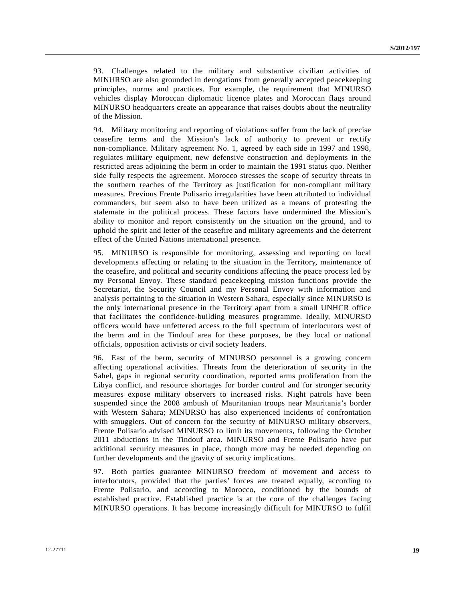93. Challenges related to the military and substantive civilian activities of MINURSO are also grounded in derogations from generally accepted peacekeeping principles, norms and practices. For example, the requirement that MINURSO vehicles display Moroccan diplomatic licence plates and Moroccan flags around MINURSO headquarters create an appearance that raises doubts about the neutrality of the Mission.

94. Military monitoring and reporting of violations suffer from the lack of precise ceasefire terms and the Mission's lack of authority to prevent or rectify non-compliance. Military agreement No. 1, agreed by each side in 1997 and 1998, regulates military equipment, new defensive construction and deployments in the restricted areas adjoining the berm in order to maintain the 1991 status quo. Neither side fully respects the agreement. Morocco stresses the scope of security threats in the southern reaches of the Territory as justification for non-compliant military measures. Previous Frente Polisario irregularities have been attributed to individual commanders, but seem also to have been utilized as a means of protesting the stalemate in the political process. These factors have undermined the Mission's ability to monitor and report consistently on the situation on the ground, and to uphold the spirit and letter of the ceasefire and military agreements and the deterrent effect of the United Nations international presence.

95. MINURSO is responsible for monitoring, assessing and reporting on local developments affecting or relating to the situation in the Territory, maintenance of the ceasefire, and political and security conditions affecting the peace process led by my Personal Envoy. These standard peacekeeping mission functions provide the Secretariat, the Security Council and my Personal Envoy with information and analysis pertaining to the situation in Western Sahara, especially since MINURSO is the only international presence in the Territory apart from a small UNHCR office that facilitates the confidence-building measures programme. Ideally, MINURSO officers would have unfettered access to the full spectrum of interlocutors west of the berm and in the Tindouf area for these purposes, be they local or national officials, opposition activists or civil society leaders.

96. East of the berm, security of MINURSO personnel is a growing concern affecting operational activities. Threats from the deterioration of security in the Sahel, gaps in regional security coordination, reported arms proliferation from the Libya conflict, and resource shortages for border control and for stronger security measures expose military observers to increased risks. Night patrols have been suspended since the 2008 ambush of Mauritanian troops near Mauritania's border with Western Sahara; MINURSO has also experienced incidents of confrontation with smugglers. Out of concern for the security of MINURSO military observers, Frente Polisario advised MINURSO to limit its movements, following the October 2011 abductions in the Tindouf area. MINURSO and Frente Polisario have put additional security measures in place, though more may be needed depending on further developments and the gravity of security implications.

97. Both parties guarantee MINURSO freedom of movement and access to interlocutors, provided that the parties' forces are treated equally, according to Frente Polisario, and according to Morocco, conditioned by the bounds of established practice. Established practice is at the core of the challenges facing MINURSO operations. It has become increasingly difficult for MINURSO to fulfil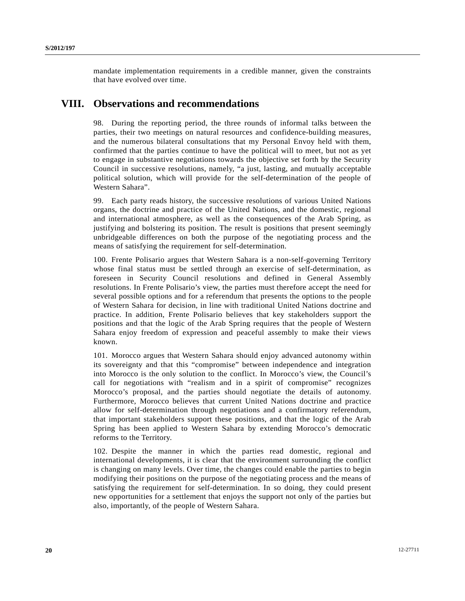mandate implementation requirements in a credible manner, given the constraints that have evolved over time.

# **VIII. Observations and recommendations**

98. During the reporting period, the three rounds of informal talks between the parties, their two meetings on natural resources and confidence-building measures, and the numerous bilateral consultations that my Personal Envoy held with them, confirmed that the parties continue to have the political will to meet, but not as yet to engage in substantive negotiations towards the objective set forth by the Security Council in successive resolutions, namely, "a just, lasting, and mutually acceptable political solution, which will provide for the self-determination of the people of Western Sahara".

99. Each party reads history, the successive resolutions of various United Nations organs, the doctrine and practice of the United Nations, and the domestic, regional and international atmosphere, as well as the consequences of the Arab Spring, as justifying and bolstering its position. The result is positions that present seemingly unbridgeable differences on both the purpose of the negotiating process and the means of satisfying the requirement for self-determination.

100. Frente Polisario argues that Western Sahara is a non-self-governing Territory whose final status must be settled through an exercise of self-determination, as foreseen in Security Council resolutions and defined in General Assembly resolutions. In Frente Polisario's view, the parties must therefore accept the need for several possible options and for a referendum that presents the options to the people of Western Sahara for decision, in line with traditional United Nations doctrine and practice. In addition, Frente Polisario believes that key stakeholders support the positions and that the logic of the Arab Spring requires that the people of Western Sahara enjoy freedom of expression and peaceful assembly to make their views known.

101. Morocco argues that Western Sahara should enjoy advanced autonomy within its sovereignty and that this "compromise" between independence and integration into Morocco is the only solution to the conflict. In Morocco's view, the Council's call for negotiations with "realism and in a spirit of compromise" recognizes Morocco's proposal, and the parties should negotiate the details of autonomy. Furthermore, Morocco believes that current United Nations doctrine and practice allow for self-determination through negotiations and a confirmatory referendum, that important stakeholders support these positions, and that the logic of the Arab Spring has been applied to Western Sahara by extending Morocco's democratic reforms to the Territory.

102. Despite the manner in which the parties read domestic, regional and international developments, it is clear that the environment surrounding the conflict is changing on many levels. Over time, the changes could enable the parties to begin modifying their positions on the purpose of the negotiating process and the means of satisfying the requirement for self-determination. In so doing, they could present new opportunities for a settlement that enjoys the support not only of the parties but also, importantly, of the people of Western Sahara.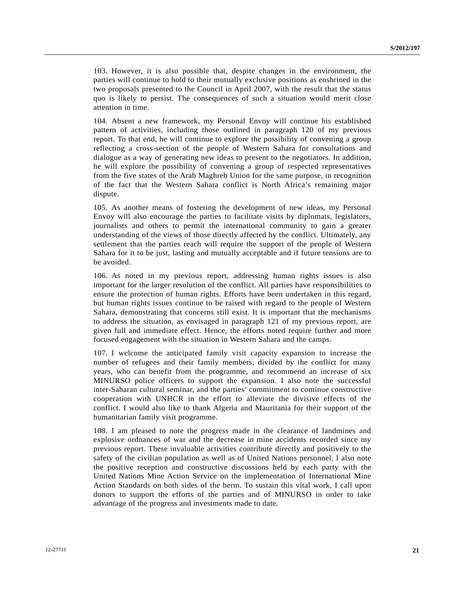103. However, it is also possible that, despite changes in the environment, the parties will continue to hold to their mutually exclusive positions as enshrined in the two proposals presented to the Council in April 2007, with the result that the status quo is likely to persist. The consequences of such a situation would merit close attention in time.

104. Absent a new framework, my Personal Envoy will continue his established pattern of activities, including those outlined in paragraph 120 of my previous report. To that end, he will continue to explore the possibility of convening a group reflecting a cross-section of the people of Western Sahara for consultations and dialogue as a way of generating new ideas to present to the negotiators. In addition, he will explore the possibility of convening a group of respected representatives from the five states of the Arab Maghreb Union for the same purpose, in recognition of the fact that the Western Sahara conflict is North Africa's remaining major dispute.

105. As another means of fostering the development of new ideas, my Personal Envoy will also encourage the parties to facilitate visits by diplomats, legislators, journalists and others to permit the international community to gain a greater understanding of the views of those directly affected by the conflict. Ultimately, any settlement that the parties reach will require the support of the people of Western Sahara for it to be just, lasting and mutually acceptable and if future tensions are to be avoided.

106. As noted in my previous report, addressing human rights issues is also important for the larger resolution of the conflict. All parties have responsibilities to ensure the protection of human rights. Efforts have been undertaken in this regard, but human rights issues continue to be raised with regard to the people of Western Sahara, demonstrating that concerns still exist. It is important that the mechanisms to address the situation, as envisaged in paragraph 121 of my previous report, are given full and immediate effect. Hence, the efforts noted require further and more focused engagement with the situation in Western Sahara and the camps.

107. I welcome the anticipated family visit capacity expansion to increase the number of refugees and their family members, divided by the conflict for many years, who can benefit from the programme, and recommend an increase of six MINURSO police officers to support the expansion. I also note the successful inter-Saharan cultural seminar, and the parties' commitment to continue constructive cooperation with UNHCR in the effort to alleviate the divisive effects of the conflict. I would also like to thank Algeria and Mauritania for their support of the humanitarian family visit programme.

108. I am pleased to note the progress made in the clearance of landmines and explosive ordnances of war and the decrease in mine accidents recorded since my previous report. These invaluable activities contribute directly and positively to the safety of the civilian population as well as of United Nations personnel. I also note the positive reception and constructive discussions held by each party with the United Nations Mine Action Service on the implementation of International Mine Action Standards on both sides of the berm. To sustain this vital work, I call upon donors to support the efforts of the parties and of MINURSO in order to take advantage of the progress and investments made to date.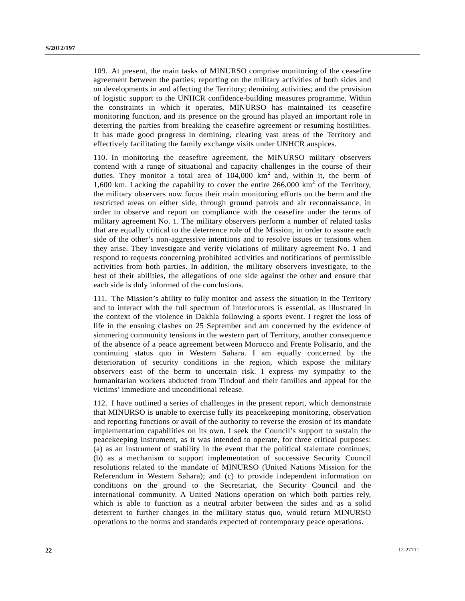109. At present, the main tasks of MINURSO comprise monitoring of the ceasefire agreement between the parties; reporting on the military activities of both sides and on developments in and affecting the Territory; demining activities; and the provision of logistic support to the UNHCR confidence-building measures programme. Within the constraints in which it operates, MINURSO has maintained its ceasefire monitoring function, and its presence on the ground has played an important role in deterring the parties from breaking the ceasefire agreement or resuming hostilities. It has made good progress in demining, clearing vast areas of the Territory and effectively facilitating the family exchange visits under UNHCR auspices.

110. In monitoring the ceasefire agreement, the MINURSO military observers contend with a range of situational and capacity challenges in the course of their duties. They monitor a total area of  $104,000 \text{ km}^2$  and, within it, the berm of 1,600 km. Lacking the capability to cover the entire  $266,000 \text{ km}^2$  of the Territory, the military observers now focus their main monitoring efforts on the berm and the restricted areas on either side, through ground patrols and air reconnaissance, in order to observe and report on compliance with the ceasefire under the terms of military agreement No. 1. The military observers perform a number of related tasks that are equally critical to the deterrence role of the Mission, in order to assure each side of the other's non-aggressive intentions and to resolve issues or tensions when they arise. They investigate and verify violations of military agreement No. 1 and respond to requests concerning prohibited activities and notifications of permissible activities from both parties. In addition, the military observers investigate, to the best of their abilities, the allegations of one side against the other and ensure that each side is duly informed of the conclusions.

111. The Mission's ability to fully monitor and assess the situation in the Territory and to interact with the full spectrum of interlocutors is essential, as illustrated in the context of the violence in Dakhla following a sports event. I regret the loss of life in the ensuing clashes on 25 September and am concerned by the evidence of simmering community tensions in the western part of Territory, another consequence of the absence of a peace agreement between Morocco and Frente Polisario, and the continuing status quo in Western Sahara. I am equally concerned by the deterioration of security conditions in the region, which expose the military observers east of the berm to uncertain risk. I express my sympathy to the humanitarian workers abducted from Tindouf and their families and appeal for the victims' immediate and unconditional release.

112. I have outlined a series of challenges in the present report, which demonstrate that MINURSO is unable to exercise fully its peacekeeping monitoring, observation and reporting functions or avail of the authority to reverse the erosion of its mandate implementation capabilities on its own. I seek the Council's support to sustain the peacekeeping instrument, as it was intended to operate, for three critical purposes: (a) as an instrument of stability in the event that the political stalemate continues; (b) as a mechanism to support implementation of successive Security Council resolutions related to the mandate of MINURSO (United Nations Mission for the Referendum in Western Sahara); and (c) to provide independent information on conditions on the ground to the Secretariat, the Security Council and the international community. A United Nations operation on which both parties rely, which is able to function as a neutral arbiter between the sides and as a solid deterrent to further changes in the military status quo, would return MINURSO operations to the norms and standards expected of contemporary peace operations.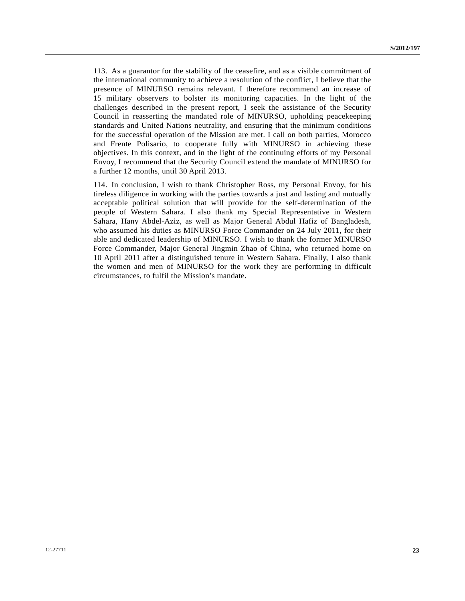113. As a guarantor for the stability of the ceasefire, and as a visible commitment of the international community to achieve a resolution of the conflict, I believe that the presence of MINURSO remains relevant. I therefore recommend an increase of 15 military observers to bolster its monitoring capacities. In the light of the challenges described in the present report, I seek the assistance of the Security Council in reasserting the mandated role of MINURSO, upholding peacekeeping standards and United Nations neutrality, and ensuring that the minimum conditions for the successful operation of the Mission are met. I call on both parties, Morocco and Frente Polisario, to cooperate fully with MINURSO in achieving these objectives. In this context, and in the light of the continuing efforts of my Personal Envoy, I recommend that the Security Council extend the mandate of MINURSO for a further 12 months, until 30 April 2013.

114. In conclusion, I wish to thank Christopher Ross, my Personal Envoy, for his tireless diligence in working with the parties towards a just and lasting and mutually acceptable political solution that will provide for the self-determination of the people of Western Sahara. I also thank my Special Representative in Western Sahara, Hany Abdel-Aziz, as well as Major General Abdul Hafiz of Bangladesh, who assumed his duties as MINURSO Force Commander on 24 July 2011, for their able and dedicated leadership of MINURSO. I wish to thank the former MINURSO Force Commander, Major General Jingmin Zhao of China, who returned home on 10 April 2011 after a distinguished tenure in Western Sahara. Finally, I also thank the women and men of MINURSO for the work they are performing in difficult circumstances, to fulfil the Mission's mandate.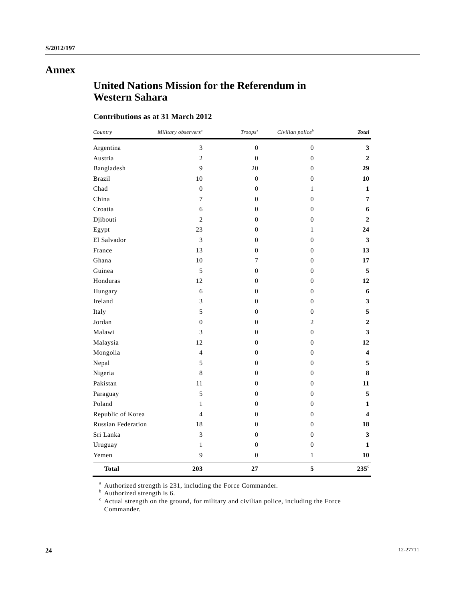## **Annex**

# **United Nations Mission for the Referendum in Western Sahara**

### **Contributions as at 31 March 2012**

| Country                   | Military observers <sup>a</sup> | Troops <sup>a</sup> | Civilian police <sup>b</sup> | <b>Total</b>            |
|---------------------------|---------------------------------|---------------------|------------------------------|-------------------------|
| Argentina                 | 3                               | $\boldsymbol{0}$    | $\boldsymbol{0}$             | 3                       |
| Austria                   | $\sqrt{2}$                      | $\boldsymbol{0}$    | $\boldsymbol{0}$             | $\boldsymbol{2}$        |
| Bangladesh                | 9                               | 20                  | $\boldsymbol{0}$             | 29                      |
| <b>Brazil</b>             | 10                              | $\mathbf{0}$        | $\overline{0}$               | 10                      |
| Chad                      | $\overline{0}$                  | $\mathbf{0}$        | $\mathbf{1}$                 | 1                       |
| China                     | $\overline{7}$                  | $\overline{0}$      | $\boldsymbol{0}$             | $\overline{7}$          |
| Croatia                   | 6                               | $\boldsymbol{0}$    | $\boldsymbol{0}$             | 6                       |
| Djibouti                  | $\overline{c}$                  | $\boldsymbol{0}$    | $\boldsymbol{0}$             | $\boldsymbol{2}$        |
| Egypt                     | 23                              | $\mathbf{0}$        | $\mathbf{1}$                 | 24                      |
| El Salvador               | 3                               | $\boldsymbol{0}$    | $\boldsymbol{0}$             | 3                       |
| France                    | 13                              | $\boldsymbol{0}$    | $\boldsymbol{0}$             | 13                      |
| Ghana                     | $10\,$                          | $\tau$              | $\boldsymbol{0}$             | 17                      |
| Guinea                    | 5                               | $\boldsymbol{0}$    | $\boldsymbol{0}$             | 5                       |
| Honduras                  | 12                              | $\boldsymbol{0}$    | $\boldsymbol{0}$             | 12                      |
| Hungary                   | 6                               | $\mathbf{0}$        | $\overline{0}$               | 6                       |
| Ireland                   | 3                               | $\overline{0}$      | $\mathbf{0}$                 | 3                       |
| Italy                     | 5                               | $\overline{0}$      | $\mathbf{0}$                 | 5                       |
| Jordan                    | $\boldsymbol{0}$                | $\boldsymbol{0}$    | $\overline{c}$               | $\boldsymbol{2}$        |
| Malawi                    | 3                               | $\boldsymbol{0}$    | $\boldsymbol{0}$             | 3                       |
| Malaysia                  | 12                              | $\boldsymbol{0}$    | $\boldsymbol{0}$             | 12                      |
| Mongolia                  | $\overline{4}$                  | $\boldsymbol{0}$    | $\boldsymbol{0}$             | $\overline{\mathbf{4}}$ |
| Nepal                     | 5                               | $\boldsymbol{0}$    | $\boldsymbol{0}$             | 5                       |
| Nigeria                   | $\,$ 8 $\,$                     | $\boldsymbol{0}$    | $\boldsymbol{0}$             | 8                       |
| Pakistan                  | 11                              | $\boldsymbol{0}$    | $\boldsymbol{0}$             | 11                      |
| Paraguay                  | 5                               | $\mathbf{0}$        | $\overline{0}$               | 5                       |
| Poland                    | $\mathbf{1}$                    | $\mathbf{0}$        | $\overline{0}$               | 1                       |
| Republic of Korea         | $\overline{4}$                  | $\overline{0}$      | $\overline{0}$               | $\overline{\mathbf{4}}$ |
| <b>Russian Federation</b> | 18                              | $\boldsymbol{0}$    | $\mathbf{0}$                 | 18                      |
| Sri Lanka                 | 3                               | $\boldsymbol{0}$    | $\mathbf{0}$                 | 3                       |
| Uruguay                   | $\mathbf{1}$                    | $\mathbf{0}$        | $\mathbf{0}$                 | 1                       |
| Yemen                     | 9                               | $\boldsymbol{0}$    | $\,1$                        | 10                      |
| <b>Total</b>              | 203                             | 27                  | 5                            | $235^{\circ}$           |

<sup>a</sup> Authorized strength is 231, including the Force Commander.<br>
<sup>b</sup> Authorized strength is 6.<br>
<sup>c</sup> Actual strength on the ground, for military and civilian police, including the Force Commander.